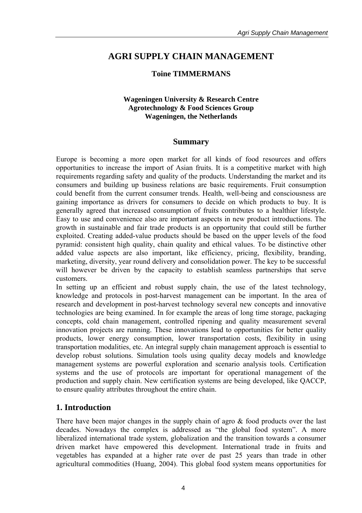# **AGRI SUPPLY CHAIN MANAGEMENT**

### **Toine TIMMERMANS**

#### **Wageningen University & Research Centre Agrotechnology & Food Sciences Group Wageningen, the Netherlands**

#### **Summary**

Europe is becoming a more open market for all kinds of food resources and offers opportunities to increase the import of Asian fruits. It is a competitive market with high requirements regarding safety and quality of the products. Understanding the market and its consumers and building up business relations are basic requirements. Fruit consumption could benefit from the current consumer trends. Health, well-being and consciousness are gaining importance as drivers for consumers to decide on which products to buy. It is generally agreed that increased consumption of fruits contributes to a healthier lifestyle. Easy to use and convenience also are important aspects in new product introductions. The growth in sustainable and fair trade products is an opportunity that could still be further exploited. Creating added-value products should be based on the upper levels of the food pyramid: consistent high quality, chain quality and ethical values. To be distinctive other added value aspects are also important, like efficiency, pricing, flexibility, branding, marketing, diversity, year round delivery and consolidation power. The key to be successful will however be driven by the capacity to establish seamless partnerships that serve customers.

In setting up an efficient and robust supply chain, the use of the latest technology, knowledge and protocols in post-harvest management can be important. In the area of research and development in post-harvest technology several new concepts and innovative technologies are being examined. In for example the areas of long time storage, packaging concepts, cold chain management, controlled ripening and quality measurement several innovation projects are running. These innovations lead to opportunities for better quality products, lower energy consumption, lower transportation costs, flexibility in using transportation modalities, etc. An integral supply chain management approach is essential to develop robust solutions. Simulation tools using quality decay models and knowledge management systems are powerful exploration and scenario analysis tools. Certification systems and the use of protocols are important for operational management of the production and supply chain. New certification systems are being developed, like QACCP, to ensure quality attributes throughout the entire chain.

## **1. Introduction**

There have been major changes in the supply chain of agro  $\&$  food products over the last decades. Nowadays the complex is addressed as "the global food system". A more liberalized international trade system, globalization and the transition towards a consumer driven market have empowered this development. International trade in fruits and vegetables has expanded at a higher rate over de past 25 years than trade in other agricultural commodities (Huang, 2004). This global food system means opportunities for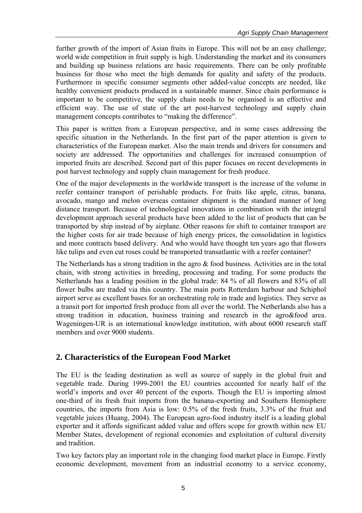further growth of the import of Asian fruits in Europe. This will not be an easy challenge; world wide competition in fruit supply is high. Understanding the market and its consumers and building up business relations are basic requirements. There can be only profitable business for those who meet the high demands for quality and safety of the products. Furthermore in specific consumer segments other added-value concepts are needed, like healthy convenient products produced in a sustainable manner. Since chain performance is important to be competitive, the supply chain needs to be organised is an effective and efficient way. The use of state of the art post-harvest technology and supply chain management concepts contributes to "making the difference".

This paper is written from a European perspective, and in some cases addressing the specific situation in the Netherlands. In the first part of the paper attention is given to characteristics of the European market. Also the main trends and drivers for consumers and society are addressed. The opportunities and challenges for increased consumption of imported fruits are described. Second part of this paper focuses on recent developments in post harvest technology and supply chain management for fresh produce.

One of the major developments in the worldwide transport is the increase of the volume in reefer container transport of perishable products. For fruits like apple, citrus, banana, avocado, mango and melon overseas container shipment is the standard manner of long distance transport. Because of technological innovations in combination with the integral development approach several products have been added to the list of products that can be transported by ship instead of by airplane. Other reasons for shift to container transport are the higher costs for air trade because of high energy prices, the consolidation in logistics and more contracts based delivery. And who would have thought ten years ago that flowers like tulips and even cut roses could be transported transatlantic with a reefer container?

The Netherlands has a strong tradition in the agro  $\&$  food business. Activities are in the total chain, with strong activities in breeding, processing and trading. For some products the Netherlands has a leading position in the global trade: 84 % of all flowers and 83% of all flower bulbs are traded via this country. The main ports Rotterdam harbour and Schiphol airport serve as excellent bases for an orchestrating role in trade and logistics. They serve as a transit port for imported fresh produce from all over the world. The Netherlands also has a strong tradition in education, business training and research in the agro&food area. Wageningen-UR is an international knowledge institution, with about 6000 research staff members and over 9000 students.

# **2. Characteristics of the European Food Market**

The EU is the leading destination as well as source of supply in the global fruit and vegetable trade. During 1999-2001 the EU countries accounted for nearly half of the world's imports and over 40 percent of the exports. Though the EU is importing almost one-third of its fresh fruit imports from the banana-exporting and Southern Hemisphere countries, the imports from Asia is low: 0.5% of the fresh fruits, 3.3% of the fruit and vegetable juices (Huang, 2004). The European agro-food industry itself is a leading global exporter and it affords significant added value and offers scope for growth within new EU Member States, development of regional economies and exploitation of cultural diversity and tradition.

Two key factors play an important role in the changing food market place in Europe. Firstly economic development, movement from an industrial economy to a service economy,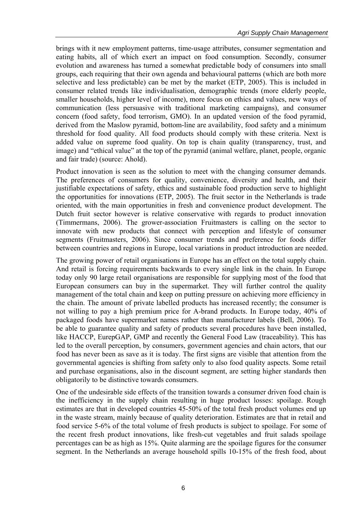brings with it new employment patterns, time-usage attributes, consumer segmentation and eating habits, all of which exert an impact on food consumption. Secondly, consumer evolution and awareness has turned a somewhat predictable body of consumers into small groups, each requiring that their own agenda and behavioural patterns (which are both more selective and less predictable) can be met by the market (ETP, 2005). This is included in consumer related trends like individualisation, demographic trends (more elderly people, smaller households, higher level of income), more focus on ethics and values, new ways of communication (less persuasive with traditional marketing campaigns), and consumer concern (food safety, food terrorism, GMO). In an updated version of the food pyramid, derived from the Maslow pyramid, bottom-line are availability, food safety and a minimum threshold for food quality. All food products should comply with these criteria. Next is added value on supreme food quality. On top is chain quality (transparency, trust, and image) and "ethical value" at the top of the pyramid (animal welfare, planet, people, organic and fair trade) (source: Ahold).

Product innovation is seen as the solution to meet with the changing consumer demands. The preferences of consumers for quality, convenience, diversity and health, and their justifiable expectations of safety, ethics and sustainable food production serve to highlight the opportunities for innovations (ETP, 2005). The fruit sector in the Netherlands is trade oriented, with the main opportunities in fresh and convenience product development. The Dutch fruit sector however is relative conservative with regards to product innovation (Timmermans, 2006). The grower-association Fruitmasters is calling on the sector to innovate with new products that connect with perception and lifestyle of consumer segments (Fruitmasters, 2006). Since consumer trends and preference for foods differ between countries and regions in Europe, local variations in product introduction are needed.

The growing power of retail organisations in Europe has an effect on the total supply chain. And retail is forcing requirements backwards to every single link in the chain. In Europe today only 90 large retail organisations are responsible for supplying most of the food that European consumers can buy in the supermarket. They will further control the quality management of the total chain and keep on putting pressure on achieving more efficiency in the chain. The amount of private labelled products has increased recently; the consumer is not willing to pay a high premium price for A-brand products. In Europe today, 40% of packaged foods have supermarket names rather than manufacturer labels (Bell, 2006). To be able to guarantee quality and safety of products several procedures have been installed, like HACCP, EurepGAP, GMP and recently the General Food Law (traceability). This has led to the overall perception, by consumers, government agencies and chain actors, that our food has never been as save as it is today. The first signs are visible that attention from the governmental agencies is shifting from safety only to also food quality aspects. Some retail and purchase organisations, also in the discount segment, are setting higher standards then obligatorily to be distinctive towards consumers.

One of the undesirable side effects of the transition towards a consumer driven food chain is the inefficiency in the supply chain resulting in huge product losses: spoilage. Rough estimates are that in developed countries 45-50% of the total fresh product volumes end up in the waste stream, mainly because of quality deterioration. Estimates are that in retail and food service 5-6% of the total volume of fresh products is subject to spoilage. For some of the recent fresh product innovations, like fresh-cut vegetables and fruit salads spoilage percentages can be as high as 15%. Quite alarming are the spoilage figures for the consumer segment. In the Netherlands an average household spills 10-15% of the fresh food, about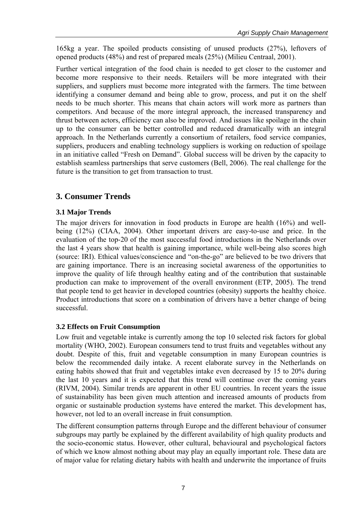165kg a year. The spoiled products consisting of unused products (27%), leftovers of opened products (48%) and rest of prepared meals (25%) (Milieu Centraal, 2001).

Further vertical integration of the food chain is needed to get closer to the customer and become more responsive to their needs. Retailers will be more integrated with their suppliers, and suppliers must become more integrated with the farmers. The time between identifying a consumer demand and being able to grow, process, and put it on the shelf needs to be much shorter. This means that chain actors will work more as partners than competitors. And because of the more integral approach, the increased transparency and thrust between actors, efficiency can also be improved. And issues like spoilage in the chain up to the consumer can be better controlled and reduced dramatically with an integral approach. In the Netherlands currently a consortium of retailers, food service companies, suppliers, producers and enabling technology suppliers is working on reduction of spoilage in an initiative called "Fresh on Demand". Global success will be driven by the capacity to establish seamless partnerships that serve customers (Bell, 2006). The real challenge for the future is the transition to get from transaction to trust.

# **3. Consumer Trends**

## **3.1 Major Trends**

The major drivers for innovation in food products in Europe are health (16%) and wellbeing (12%) (CIAA, 2004). Other important drivers are easy-to-use and price. In the evaluation of the top-20 of the most successful food introductions in the Netherlands over the last 4 years show that health is gaining importance, while well-being also scores high (source: IRI). Ethical values/conscience and "on-the-go" are believed to be two drivers that are gaining importance. There is an increasing societal awareness of the opportunities to improve the quality of life through healthy eating and of the contribution that sustainable production can make to improvement of the overall environment (ETP, 2005). The trend that people tend to get heavier in developed countries (obesity) supports the healthy choice. Product introductions that score on a combination of drivers have a better change of being successful.

## **3.2 Effects on Fruit Consumption**

Low fruit and vegetable intake is currently among the top 10 selected risk factors for global mortality (WHO, 2002). European consumers tend to trust fruits and vegetables without any doubt. Despite of this, fruit and vegetable consumption in many European countries is below the recommended daily intake. A recent elaborate survey in the Netherlands on eating habits showed that fruit and vegetables intake even decreased by 15 to 20% during the last 10 years and it is expected that this trend will continue over the coming years (RIVM, 2004). Similar trends are apparent in other EU countries. In recent years the issue of sustainability has been given much attention and increased amounts of products from organic or sustainable production systems have entered the market. This development has, however, not led to an overall increase in fruit consumption.

The different consumption patterns through Europe and the different behaviour of consumer subgroups may partly be explained by the different availability of high quality products and the socio-economic status. However, other cultural, behavioural and psychological factors of which we know almost nothing about may play an equally important role. These data are of major value for relating dietary habits with health and underwrite the importance of fruits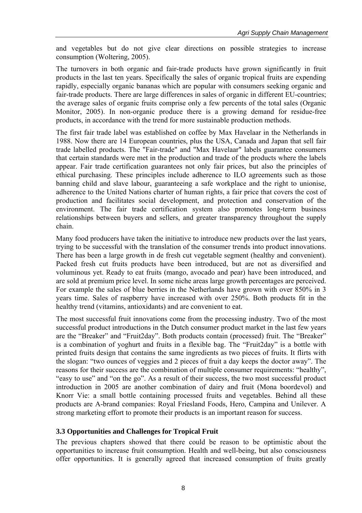and vegetables but do not give clear directions on possible strategies to increase consumption (Woltering, 2005).

The turnovers in both organic and fair-trade products have grown significantly in fruit products in the last ten years. Specifically the sales of organic tropical fruits are expending rapidly, especially organic bananas which are popular with consumers seeking organic and fair-trade products. There are large differences in sales of organic in different EU-countries; the average sales of organic fruits comprise only a few percents of the total sales (Organic Monitor, 2005). In non-organic produce there is a growing demand for residue-free products, in accordance with the trend for more sustainable production methods.

The first fair trade label was established on coffee by Max Havelaar in the Netherlands in 1988. Now there are 14 European countries, plus the USA, Canada and Japan that sell fair trade labelled products. The "Fair-trade" and "Max Havelaar" labels guarantee consumers that certain standards were met in the production and trade of the products where the labels appear. Fair trade certification guarantees not only fair prices, but also the principles of ethical purchasing. These principles include adherence to ILO agreements such as those banning child and slave labour, guaranteeing a safe workplace and the right to unionise, adherence to the United Nations charter of human rights, a fair price that covers the cost of production and facilitates social development, and protection and conservation of the environment. The fair trade certification system also promotes long-term business relationships between buyers and sellers, and greater transparency throughout the supply chain.

Many food producers have taken the initiative to introduce new products over the last years, trying to be successful with the translation of the consumer trends into product innovations. There has been a large growth in de fresh cut vegetable segment (healthy and convenient). Packed fresh cut fruits products have been introduced, but are not as diversified and voluminous yet. Ready to eat fruits (mango, avocado and pear) have been introduced, and are sold at premium price level. In some niche areas large growth percentages are perceived. For example the sales of blue berries in the Netherlands have grown with over 850% in 3 years time. Sales of raspberry have increased with over 250%. Both products fit in the healthy trend (vitamins, antioxidants) and are convenient to eat.

The most successful fruit innovations come from the processing industry. Two of the most successful product introductions in the Dutch consumer product market in the last few years are the "Breaker" and "Fruit2day". Both products contain (processed) fruit. The "Breaker" is a combination of yoghurt and fruits in a flexible bag. The "Fruit2day" is a bottle with printed fruits design that contains the same ingredients as two pieces of fruits. It flirts with the slogan: "two ounces of veggies and 2 pieces of fruit a day keeps the doctor away". The reasons for their success are the combination of multiple consumer requirements: "healthy", "easy to use" and "on the go". As a result of their success, the two most successful product introduction in 2005 are another combination of dairy and fruit (Mona boordevol) and Knorr Vie: a small bottle containing processed fruits and vegetables. Behind all these products are A-brand companies: Royal Friesland Foods, Hero, Campina and Unilever. A strong marketing effort to promote their products is an important reason for success.

#### **3.3 Opportunities and Challenges for Tropical Fruit**

The previous chapters showed that there could be reason to be optimistic about the opportunities to increase fruit consumption. Health and well-being, but also consciousness offer opportunities. It is generally agreed that increased consumption of fruits greatly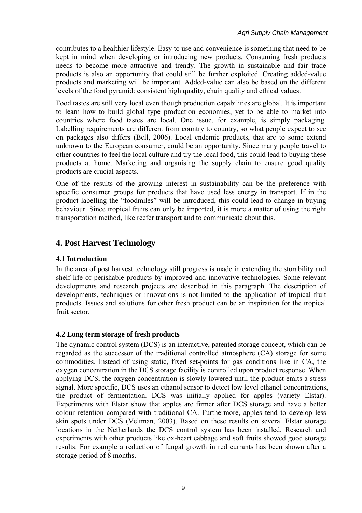contributes to a healthier lifestyle. Easy to use and convenience is something that need to be kept in mind when developing or introducing new products. Consuming fresh products needs to become more attractive and trendy. The growth in sustainable and fair trade products is also an opportunity that could still be further exploited. Creating added-value products and marketing will be important. Added-value can also be based on the different levels of the food pyramid: consistent high quality, chain quality and ethical values.

Food tastes are still very local even though production capabilities are global. It is important to learn how to build global type production economies, yet to be able to market into countries where food tastes are local. One issue, for example, is simply packaging. Labelling requirements are different from country to country, so what people expect to see on packages also differs (Bell, 2006). Local endemic products, that are to some extend unknown to the European consumer, could be an opportunity. Since many people travel to other countries to feel the local culture and try the local food, this could lead to buying these products at home. Marketing and organising the supply chain to ensure good quality products are crucial aspects.

One of the results of the growing interest in sustainability can be the preference with specific consumer groups for products that have used less energy in transport. If in the product labelling the "foodmiles" will be introduced, this could lead to change in buying behaviour. Since tropical fruits can only be imported, it is more a matter of using the right transportation method, like reefer transport and to communicate about this.

# **4. Post Harvest Technology**

#### **4.1 Introduction**

In the area of post harvest technology still progress is made in extending the storability and shelf life of perishable products by improved and innovative technologies. Some relevant developments and research projects are described in this paragraph. The description of developments, techniques or innovations is not limited to the application of tropical fruit products. Issues and solutions for other fresh product can be an inspiration for the tropical fruit sector.

#### **4.2 Long term storage of fresh products**

The dynamic control system (DCS) is an interactive, patented storage concept, which can be regarded as the successor of the traditional controlled atmosphere (CA) storage for some commodities. Instead of using static, fixed set-points for gas conditions like in CA, the oxygen concentration in the DCS storage facility is controlled upon product response. When applying DCS, the oxygen concentration is slowly lowered until the product emits a stress signal. More specific, DCS uses an ethanol sensor to detect low level ethanol concentrations, the product of fermentation. DCS was initially applied for apples (variety Elstar). Experiments with Elstar show that apples are firmer after DCS storage and have a better colour retention compared with traditional CA. Furthermore, apples tend to develop less skin spots under DCS (Veltman, 2003). Based on these results on several Elstar storage locations in the Netherlands the DCS control system has been installed. Research and experiments with other products like ox-heart cabbage and soft fruits showed good storage results. For example a reduction of fungal growth in red currants has been shown after a storage period of 8 months.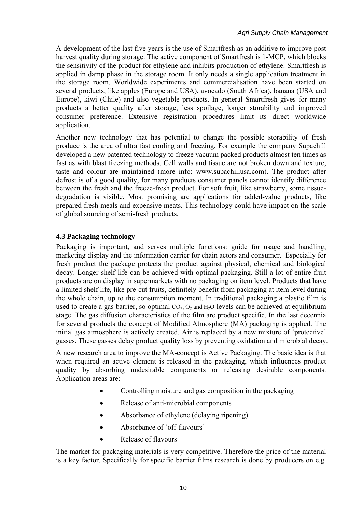A development of the last five years is the use of Smartfresh as an additive to improve post harvest quality during storage. The active component of Smartfresh is 1-MCP, which blocks the sensitivity of the product for ethylene and inhibits production of ethylene. Smartfresh is applied in damp phase in the storage room. It only needs a single application treatment in the storage room. Worldwide experiments and commercialisation have been started on several products, like apples (Europe and USA), avocado (South Africa), banana (USA and Europe), kiwi (Chile) and also vegetable products. In general Smartfresh gives for many products a better quality after storage, less spoilage, longer storability and improved consumer preference. Extensive registration procedures limit its direct worldwide application.

Another new technology that has potential to change the possible storability of fresh produce is the area of ultra fast cooling and freezing. For example the company Supachill developed a new patented technology to freeze vacuum packed products almost ten times as fast as with blast freezing methods. Cell walls and tissue are not broken down and texture, taste and colour are maintained (more info: www.supachillusa.com). The product after defrost is of a good quality, for many products consumer panels cannot identify difference between the fresh and the freeze-fresh product. For soft fruit, like strawberry, some tissuedegradation is visible. Most promising are applications for added-value products, like prepared fresh meals and expensive meats. This technology could have impact on the scale of global sourcing of semi-fresh products.

# **4.3 Packaging technology**

Packaging is important, and serves multiple functions: guide for usage and handling, marketing display and the information carrier for chain actors and consumer. Especially for fresh product the package protects the product against physical, chemical and biological decay. Longer shelf life can be achieved with optimal packaging. Still a lot of entire fruit products are on display in supermarkets with no packaging on item level. Products that have a limited shelf life, like pre-cut fruits, definitely benefit from packaging at item level during the whole chain, up to the consumption moment. In traditional packaging a plastic film is used to create a gas barrier, so optimal  $CO<sub>2</sub>, O<sub>2</sub>$  and  $H<sub>2</sub>O$  levels can be achieved at equilibrium stage. The gas diffusion characteristics of the film are product specific. In the last decennia for several products the concept of Modified Atmosphere (MA) packaging is applied. The initial gas atmosphere is actively created. Air is replaced by a new mixture of 'protective' gasses. These gasses delay product quality loss by preventing oxidation and microbial decay.

A new research area to improve the MA-concept is Active Packaging. The basic idea is that when required an active element is released in the packaging, which influences product quality by absorbing undesirable components or releasing desirable components. Application areas are:

- Controlling moisture and gas composition in the packaging
- Release of anti-microbial components
- Absorbance of ethylene (delaying ripening)
- Absorbance of 'off-flavours'
- Release of flavours

The market for packaging materials is very competitive. Therefore the price of the material is a key factor. Specifically for specific barrier films research is done by producers on e.g.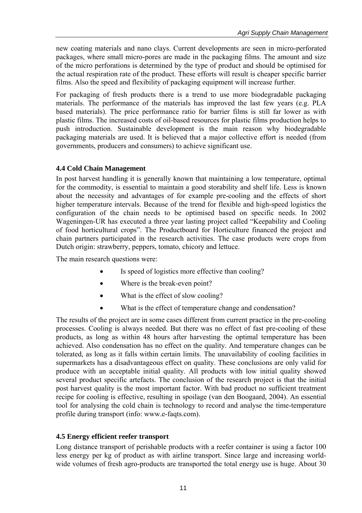new coating materials and nano clays. Current developments are seen in micro-perforated packages, where small micro-pores are made in the packaging films. The amount and size of the micro perforations is determined by the type of product and should be optimised for the actual respiration rate of the product. These efforts will result is cheaper specific barrier films. Also the speed and flexibility of packaging equipment will increase further.

For packaging of fresh products there is a trend to use more biodegradable packaging materials. The performance of the materials has improved the last few years (e.g. PLA based materials). The price performance ratio for barrier films is still far lower as with plastic films. The increased costs of oil-based resources for plastic films production helps to push introduction. Sustainable development is the main reason why biodegradable packaging materials are used. It is believed that a major collective effort is needed (from governments, producers and consumers) to achieve significant use.

# **4.4 Cold Chain Management**

In post harvest handling it is generally known that maintaining a low temperature, optimal for the commodity, is essential to maintain a good storability and shelf life. Less is known about the necessity and advantages of for example pre-cooling and the effects of short higher temperature intervals. Because of the trend for flexible and high-speed logistics the configuration of the chain needs to be optimised based on specific needs. In 2002 Wageningen-UR has executed a three year lasting project called "Keepability and Cooling of food horticultural crops". The Productboard for Horticulture financed the project and chain partners participated in the research activities. The case products were crops from Dutch origin: strawberry, peppers, tomato, chicory and lettuce.

The main research questions were:

- Is speed of logistics more effective than cooling?
- Where is the break-even point?
- What is the effect of slow cooling?
- What is the effect of temperature change and condensation?

The results of the project are in some cases different from current practice in the pre-cooling processes. Cooling is always needed. But there was no effect of fast pre-cooling of these products, as long as within 48 hours after harvesting the optimal temperature has been achieved. Also condensation has no effect on the quality. And temperature changes can be tolerated, as long as it falls within certain limits. The unavailability of cooling facilities in supermarkets has a disadvantageous effect on quality. These conclusions are only valid for produce with an acceptable initial quality. All products with low initial quality showed several product specific artefacts. The conclusion of the research project is that the initial post harvest quality is the most important factor. With bad product no sufficient treatment recipe for cooling is effective, resulting in spoilage (van den Boogaard, 2004). An essential tool for analysing the cold chain is technology to record and analyse the time-temperature profile during transport (info: www.e-faqts.com).

## **4.5 Energy efficient reefer transport**

Long distance transport of perishable products with a reefer container is using a factor 100 less energy per kg of product as with airline transport. Since large and increasing worldwide volumes of fresh agro-products are transported the total energy use is huge. About 30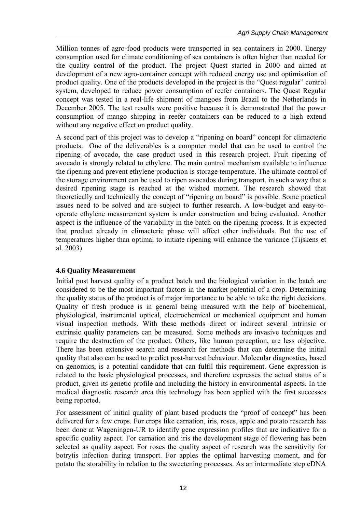Million tonnes of agro-food products were transported in sea containers in 2000. Energy consumption used for climate conditioning of sea containers is often higher than needed for the quality control of the product. The project Quest started in 2000 and aimed at development of a new agro-container concept with reduced energy use and optimisation of product quality. One of the products developed in the project is the "Quest regular" control system, developed to reduce power consumption of reefer containers. The Quest Regular concept was tested in a real-life shipment of mangoes from Brazil to the Netherlands in December 2005. The test results were positive because it is demonstrated that the power consumption of mango shipping in reefer containers can be reduced to a high extend without any negative effect on product quality.

A second part of this project was to develop a "ripening on board" concept for climacteric products. One of the deliverables is a computer model that can be used to control the ripening of avocado, the case product used in this research project. Fruit ripening of avocado is strongly related to ethylene. The main control mechanism available to influence the ripening and prevent ethylene production is storage temperature. The ultimate control of the storage environment can be used to ripen avocados during transport, in such a way that a desired ripening stage is reached at the wished moment. The research showed that theoretically and technically the concept of "ripening on board" is possible. Some practical issues need to be solved and are subject to further research. A low-budget and easy-tooperate ethylene measurement system is under construction and being evaluated. Another aspect is the influence of the variability in the batch on the ripening process. It is expected that product already in climacteric phase will affect other individuals. But the use of temperatures higher than optimal to initiate ripening will enhance the variance (Tijskens et al. 2003).

## **4.6 Quality Measurement**

Initial post harvest quality of a product batch and the biological variation in the batch are considered to be the most important factors in the market potential of a crop. Determining the quality status of the product is of major importance to be able to take the right decisions. Quality of fresh produce is in general being measured with the help of biochemical, physiological, instrumental optical, electrochemical or mechanical equipment and human visual inspection methods. With these methods direct or indirect several intrinsic or extrinsic quality parameters can be measured. Some methods are invasive techniques and require the destruction of the product. Others, like human perception, are less objective. There has been extensive search and research for methods that can determine the initial quality that also can be used to predict post-harvest behaviour. Molecular diagnostics, based on genomics, is a potential candidate that can fulfil this requirement. Gene expression is related to the basic physiological processes, and therefore expresses the actual status of a product, given its genetic profile and including the history in environmental aspects. In the medical diagnostic research area this technology has been applied with the first successes being reported.

For assessment of initial quality of plant based products the "proof of concept" has been delivered for a few crops. For crops like carnation, iris, roses, apple and potato research has been done at Wageningen-UR to identify gene expression profiles that are indicative for a specific quality aspect. For carnation and iris the development stage of flowering has been selected as quality aspect. For roses the quality aspect of research was the sensitivity for botrytis infection during transport. For apples the optimal harvesting moment, and for potato the storability in relation to the sweetening processes. As an intermediate step cDNA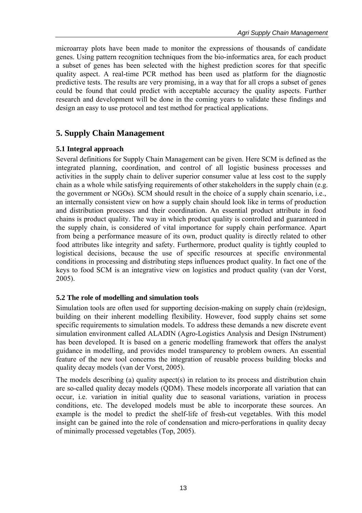microarray plots have been made to monitor the expressions of thousands of candidate genes. Using pattern recognition techniques from the bio-informatics area, for each product a subset of genes has been selected with the highest prediction scores for that specific quality aspect. A real-time PCR method has been used as platform for the diagnostic predictive tests. The results are very promising, in a way that for all crops a subset of genes could be found that could predict with acceptable accuracy the quality aspects. Further research and development will be done in the coming years to validate these findings and design an easy to use protocol and test method for practical applications.

# **5. Supply Chain Management**

### **5.1 Integral approach**

Several definitions for Supply Chain Management can be given. Here SCM is defined as the integrated planning, coordination, and control of all logistic business processes and activities in the supply chain to deliver superior consumer value at less cost to the supply chain as a whole while satisfying requirements of other stakeholders in the supply chain (e.g. the government or NGOs). SCM should result in the choice of a supply chain scenario, i.e., an internally consistent view on how a supply chain should look like in terms of production and distribution processes and their coordination. An essential product attribute in food chains is product quality. The way in which product quality is controlled and guaranteed in the supply chain, is considered of vital importance for supply chain performance. Apart from being a performance measure of its own, product quality is directly related to other food attributes like integrity and safety. Furthermore, product quality is tightly coupled to logistical decisions, because the use of specific resources at specific environmental conditions in processing and distributing steps influences product quality. In fact one of the keys to food SCM is an integrative view on logistics and product quality (van der Vorst, 2005).

#### **5.2 The role of modelling and simulation tools**

Simulation tools are often used for supporting decision-making on supply chain (re)design, building on their inherent modelling flexibility. However, food supply chains set some specific requirements to simulation models. To address these demands a new discrete event simulation environment called ALADIN (Agro-Logistics Analysis and Design INstrument) has been developed. It is based on a generic modelling framework that offers the analyst guidance in modelling, and provides model transparency to problem owners. An essential feature of the new tool concerns the integration of reusable process building blocks and quality decay models (van der Vorst, 2005).

The models describing (a) quality aspect(s) in relation to its process and distribution chain are so-called quality decay models (QDM). These models incorporate all variation that can occur, i.e. variation in initial quality due to seasonal variations, variation in process conditions, etc. The developed models must be able to incorporate these sources. An example is the model to predict the shelf-life of fresh-cut vegetables. With this model insight can be gained into the role of condensation and micro-perforations in quality decay of minimally processed vegetables (Top, 2005).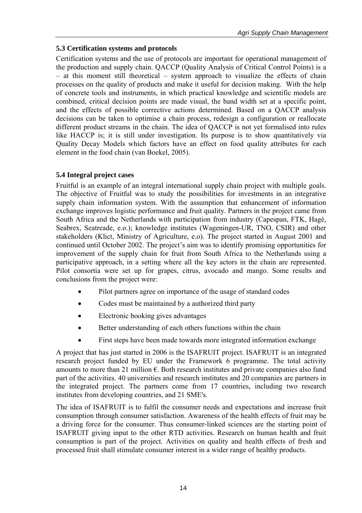## **5.3 Certification systems and protocols**

Certification systems and the use of protocols are important for operational management of the production and supply chain. QACCP (Quality Analysis of Critical Control Points) is a – at this moment still theoretical – system approach to visualize the effects of chain processes on the quality of products and make it useful for decision making. With the help of concrete tools and instruments, in which practical knowledge and scientific models are combined, critical decision points are made visual, the band width set at a specific point, and the effects of possible corrective actions determined. Based on a QACCP analysis decisions can be taken to optimise a chain process, redesign a configuration or reallocate different product streams in the chain. The idea of QACCP is not yet formalised into rules like HACCP is; it is still under investigation. Its purpose is to show quantitatively via Quality Decay Models which factors have an effect on food quality attributes for each element in the food chain (van Boekel, 2005).

# **5.4 Integral project cases**

Fruitful is an example of an integral international supply chain project with multiple goals. The objective of Fruitful was to study the possibilities for investments in an integrative supply chain information system. With the assumption that enhancement of information exchange improves logistic performance and fruit quality. Partners in the project came from South Africa and the Netherlands with participation from industry (Capespan, FTK, Hagé, Seabrex, Seatreade, e.o.); knowledge institutes (Wageningen-UR, TNO, CSIR) and other stakeholders (Klict, Ministry of Agriculture, e.o). The project started in August 2001 and continued until October 2002. The project's aim was to identify promising opportunities for improvement of the supply chain for fruit from South Africa to the Netherlands using a participative approach, in a setting where all the key actors in the chain are represented. Pilot consortia were set up for grapes, citrus, avocado and mango. Some results and conclusions from the project were:

- Pilot partners agree on importance of the usage of standard codes
- Codes must be maintained by a authorized third party
- Electronic booking gives advantages
- Better understanding of each others functions within the chain
- First steps have been made towards more integrated information exchange

A project that has just started in 2006 is the ISAFRUIT project. ISAFRUIT is an integrated research project funded by EU under the Framework 6 programme. The total activity amounts to more than 21 million  $\epsilon$ . Both research institutes and private companies also fund part of the activities. 40 universities and research institutes and 20 companies are partners in the integrated project. The partners come from 17 countries, including two research institutes from developing countries, and 21 SME's.

The idea of ISAFRUIT is to fulfil the consumer needs and expectations and increase fruit consumption through consumer satisfaction. Awareness of the health effects of fruit may be a driving force for the consumer. Thus consumer-linked sciences are the starting point of ISAFRUIT giving input to the other RTD activities. Research on human health and fruit consumption is part of the project. Activities on quality and health effects of fresh and processed fruit shall stimulate consumer interest in a wider range of healthy products.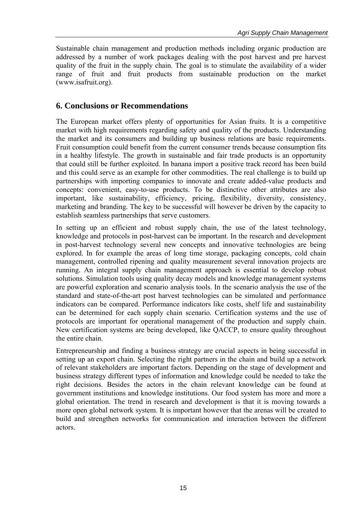Sustainable chain management and production methods including organic production are addressed by a number of work packages dealing with the post harvest and pre harvest quality of the fruit in the supply chain. The goal is to stimulate the availability of a wider range of fruit and fruit products from sustainable production on the market (www.isafruit.org).

# **6. Conclusions or Recommendations**

The European market offers plenty of opportunities for Asian fruits. It is a competitive market with high requirements regarding safety and quality of the products. Understanding the market and its consumers and building up business relations are basic requirements. Fruit consumption could benefit from the current consumer trends because consumption fits in a healthy lifestyle. The growth in sustainable and fair trade products is an opportunity that could still be further exploited. In banana import a positive track record has been build and this could serve as an example for other commodities. The real challenge is to build up partnerships with importing companies to innovate and create added-value products and concepts: convenient, easy-to-use products. To be distinctive other attributes are also important, like sustainability, efficiency, pricing, flexibility, diversity, consistency, marketing and branding. The key to be successful will however be driven by the capacity to establish seamless partnerships that serve customers.

In setting up an efficient and robust supply chain, the use of the latest technology, knowledge and protocols in post-harvest can be important. In the research and development in post-harvest technology several new concepts and innovative technologies are being explored. In for example the areas of long time storage, packaging concepts, cold chain management, controlled ripening and quality measurement several innovation projects are running. An integral supply chain management approach is essential to develop robust solutions. Simulation tools using quality decay models and knowledge management systems are powerful exploration and scenario analysis tools. In the scenario analysis the use of the standard and state-of-the-art post harvest technologies can be simulated and performance indicators can be compared. Performance indicators like costs, shelf life and sustainability can be determined for each supply chain scenario. Certification systems and the use of protocols are important for operational management of the production and supply chain. New certification systems are being developed, like QACCP, to ensure quality throughout the entire chain.

Entrepreneurship and finding a business strategy are crucial aspects in being successful in setting up an export chain. Selecting the right partners in the chain and build up a network of relevant stakeholders are important factors. Depending on the stage of development and business strategy different types of information and knowledge could be needed to take the right decisions. Besides the actors in the chain relevant knowledge can be found at government institutions and knowledge institutions. Our food system has more and more a global orientation. The trend in research and development is that it is moving towards a more open global network system. It is important however that the arenas will be created to build and strengthen networks for communication and interaction between the different actors.